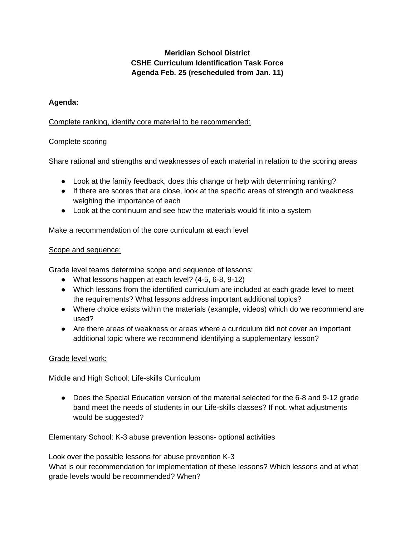# **Meridian School District CSHE Curriculum Identification Task Force Agenda Feb. 25 (rescheduled from Jan. 11)**

## **Agenda:**

## Complete ranking, identify core material to be recommended:

# Complete scoring

Share rational and strengths and weaknesses of each material in relation to the scoring areas

- Look at the family feedback, does this change or help with determining ranking?
- If there are scores that are close, look at the specific areas of strength and weakness weighing the importance of each
- Look at the continuum and see how the materials would fit into a system

Make a recommendation of the core curriculum at each level

#### Scope and sequence:

Grade level teams determine scope and sequence of lessons:

- What lessons happen at each level? (4-5, 6-8, 9-12)
- Which lessons from the identified curriculum are included at each grade level to meet the requirements? What lessons address important additional topics?
- Where choice exists within the materials (example, videos) which do we recommend are used?
- Are there areas of weakness or areas where a curriculum did not cover an important additional topic where we recommend identifying a supplementary lesson?

## Grade level work:

Middle and High School: Life-skills Curriculum

• Does the Special Education version of the material selected for the 6-8 and 9-12 grade band meet the needs of students in our Life-skills classes? If not, what adjustments would be suggested?

Elementary School: K-3 abuse prevention lessons- optional activities

Look over the possible lessons for abuse prevention K-3 What is our recommendation for implementation of these lessons? Which lessons and at what grade levels would be recommended? When?